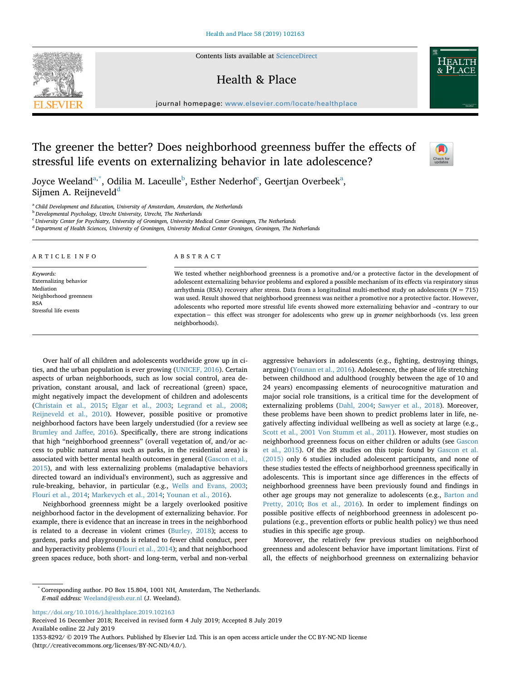Contents lists available at [ScienceDirect](http://www.sciencedirect.com/science/journal/13538292)

## Health & Place

journal homepage: [www.elsevier.com/locate/healthplace](https://www.elsevier.com/locate/healthplace)

# The greener the better? Does neighborhood greenness buffer the effects of stressful life events on externalizing behavior in late adolescence?

Joyce Weel[a](#page-0-0)nd $^{\mathrm{a},\ast},$  Odilia M. La[c](#page-0-3)eulle $^{\mathrm{b}},$  Esther Nederhof $^{\mathrm{c}},$  Geertjan Overbeek $^{\mathrm{a}},$ Sijmen A. Reijnevel[d](#page-0-4) $d$ 

<span id="page-0-0"></span><sup>a</sup> *Child Development and Education, University of Amsterdam, Amsterdam, the Netherlands*

<span id="page-0-2"></span><sup>b</sup> *Developmental Psychology, Utrecht University, Utrecht, The Netherlands*

<span id="page-0-3"></span><sup>c</sup> *University Center for Psychiatry, University of Groningen, University Medical Center Groningen, The Netherlands*

<span id="page-0-4"></span><sup>d</sup> *Department of Health Sciences, University of Groningen, University Medical Center Groningen, Groningen, The Netherlands*

ARTICLE INFO

*Keywords:* Externalizing behavior Mediation Neighborhood greenness RSA Stressful life events

## ABSTRACT

We tested whether neighborhood greenness is a promotive and/or a protective factor in the development of adolescent externalizing behavior problems and explored a possible mechanism of its effects via respiratory sinus arrhythmia (RSA) recovery after stress. Data from a longitudinal multi-method study on adolescents (*N* = 715) was used. Result showed that neighborhood greenness was neither a promotive nor a protective factor. However, adolescents who reported more stressful life events showed more externalizing behavior and –contrary to our expectation− this effect was stronger for adolescents who grew up in *greener* neighborhoods (vs. less green neighborhoods).

Over half of all children and adolescents worldwide grow up in cities, and the urban population is ever growing [\(UNICEF, 2016\)](#page-7-0). Certain aspects of urban neighborhoods, such as low social control, area deprivation, constant arousal, and lack of recreational (green) space, might negatively impact the development of children and adolescents ([Christain et al., 2015](#page-6-0); [Elgar et al., 2003;](#page-6-1) [Legrand et al., 2008](#page-7-1); [Reijneveld et al., 2010](#page-7-2)). However, possible positive or promotive neighborhood factors have been largely understudied (for a review see [Brumley and Jaffee, 2016](#page-6-2)). Specificall**y**, there are strong indications that high "neighborhood greenness" (overall vegetation of, and/or access to public natural areas such as parks, in the residential area) is associated with better mental health outcomes in general ([Gascon et al.,](#page-7-3) [2015\)](#page-7-3), and with less externalizing problems (maladaptive behaviors directed toward an individual's environment), such as aggressive and rule-breaking, behavior, in particular (e.g., [Wells and Evans, 2003](#page-7-4); [Flouri et al., 2014](#page-6-3); [Markevych et al., 2014](#page-7-5); [Younan et al., 2016\)](#page-7-6).

Neighborhood greenness might be a largely overlooked positive neighborhood factor in the development of externalizing behavior. For example, there is evidence that an increase in trees in the neighborhood is related to a decrease in violent crimes [\(Burley, 2018\)](#page-6-4); access to gardens, parks and playgrounds is related to fewer child conduct, peer and hyperactivity problems ([Flouri et al., 2014](#page-6-3)); and that neighborhood green spaces reduce, both short- and long-term, verbal and non-verbal

aggressive behaviors in adolescents (e.g., fighting, destroying things, arguing) ([Younan et al., 2016](#page-7-6)). Adolescence, the phase of life stretching between childhood and adulthood (roughly between the age of 10 and 24 years) encompassing elements of neurocognitive maturation and major social role transitions, is a critical time for the development of externalizing problems [\(Dahl, 2004](#page-6-5); [Sawyer et al., 2018\)](#page-7-7). Moreover, these problems have been shown to predict problems later in life, negatively affecting individual wellbeing as well as society at large (e.g., [Scott et al., 2001](#page-7-8) [Von Stumm et al., 2011\)](#page-7-9). However, most studies on neighborhood greenness focus on either children or adults (see [Gascon](#page-7-3) [et al., 2015\)](#page-7-3). Of the 28 studies on this topic found by [Gascon et al.](#page-7-3) [\(2015\)](#page-7-3) only 6 studies included adolescent participants, and none of these studies tested the effects of neighborhood greenness specifically in adolescents. This is important since age differences in the effects of neighborhood greenness have been previously found and findings in other age groups may not generalize to adolescents (e.g., [Barton and](#page-6-6) [Pretty, 2010](#page-6-6); [Bos et al., 2016](#page-6-7)). In order to implement findings on possible positive effects of neighborhood greenness in adolescent populations (e.g., prevention efforts or public health policy) we thus need studies in this specific age group.

Moreover, the relatively few previous studies on neighborhood greenness and adolescent behavior have important limitations. First of all, the effects of neighborhood greenness on externalizing behavior

<https://doi.org/10.1016/j.healthplace.2019.102163>

Received 16 December 2018; Received in revised form 4 July 2019; Accepted 8 July 2019 Available online 22 July 2019

1353-8292/ © 2019 The Authors. Published by Elsevier Ltd. This is an open access article under the CC BY-NC-ND license (http://creativecommons.org/licenses/BY-NC-ND/4.0/).





<span id="page-0-1"></span><sup>\*</sup> Corresponding author. PO Box 15.804, 1001 NH, Amsterdam, The Netherlands. *E-mail address:* [Weeland@essb.eur.nl](mailto:Weeland@essb.eur.nl) (J. Weeland).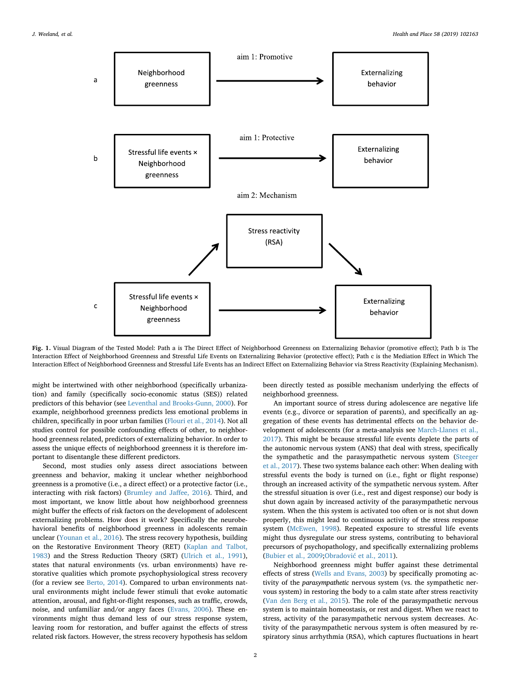<span id="page-1-0"></span>

**Fig. 1.** Visual Diagram of the Tested Model: Path a is The Direct Effect of Neighborhood Greenness on Externalizing Behavior (promotive effect); Path b is The Interaction Effect of Neighborhood Greenness and Stressful Life Events on Externalizing Behavior (protective effect); Path c is the Mediation Effect in Which The Interaction Effect of Neighborhood Greenness and Stressful Life Events has an Indirect Effect on Externalizing Behavior via Stress Reactivity (Explaining Mechanism).

might be intertwined with other neighborhood (specifically urbanization) and family (specifically socio-economic status (SES)) related predictors of this behavior (see [Leventhal and Brooks-Gunn, 2000](#page-7-10)). For example, neighborhood greenness predicts less emotional problems in children, specifically in poor urban families [\(Flouri et al., 2014\)](#page-6-3). Not all studies control for possible confounding effects of other, to neighborhood greenness related, predictors of externalizing behavior. In order to assess the unique effects of neighborhood greenness it is therefore important to disentangle these different predictors.

Second, most studies only assess direct associations between greenness and behavior, making it unclear whether neighborhood greenness is a promotive (i.e., a direct effect) or a protective factor (i.e., interacting with risk factors) ([Brumley and Jaffee, 2016\)](#page-6-2). Third, and most important, we know little about how neighborhood greenness might buffer the effects of risk factors on the development of adolescent externalizing problems. How does it work? Specifically the neurobehavioral benefits of neighborhood greenness in adolescents remain unclear [\(Younan et al., 2016\)](#page-7-6). The stress recovery hypothesis, building on the Restorative Environment Theory (RET) ([Kaplan and Talbot,](#page-7-11) [1983\)](#page-7-11) and the Stress Reduction Theory (SRT) [\(Ulrich et al., 1991](#page-7-12)), states that natural environments (vs. urban environments) have restorative qualities which promote psychophysiological stress recovery (for a review see [Berto, 2014](#page-6-8)). Compared to urban environments natural environments might include fewer stimuli that evoke automatic attention, arousal, and fight-or-flight responses, such as traffic, crowds, noise, and unfamiliar and/or angry faces ([Evans, 2006\)](#page-6-9). These environments might thus demand less of our stress response system, leaving room for restoration, and buffer against the effects of stress related risk factors. However, the stress recovery hypothesis has seldom

been directly tested as possible mechanism underlying the effects of neighborhood greenness.

An important source of stress during adolescence are negative life events (e.g., divorce or separation of parents), and specifically an aggregation of these events has detrimental effects on the behavior development of adolescents (for a meta-analysis see [March-Llanes et al.,](#page-7-13) [2017\)](#page-7-13). This might be because stressful life events deplete the parts of the autonomic nervous system (ANS) that deal with stress, specifically the sympathetic and the parasympathetic nervous system ([Steeger](#page-7-14) [et al., 2017](#page-7-14)). These two systems balance each other: When dealing with stressful events the body is turned on (i.e., fight or flight response) through an increased activity of the sympathetic nervous system. After the stressful situation is over (i.e., rest and digest response) our body is shut down again by increased activity of the parasympathetic nervous system. When the this system is activated too often or is not shut down properly, this might lead to continuous activity of the stress response system ([McEwen, 1998](#page-7-15)). Repeated exposure to stressful life events might thus dysregulate our stress systems, contributing to behavioral precursors of psychopathology, and specifically externalizing problems ([Bubier et al., 2009](#page-6-10)[;Obradović et al., 2011](#page-7-16)).

Neighborhood greenness might buffer against these detrimental effects of stress ([Wells and Evans, 2003](#page-7-4)) by specifically promoting activity of the *parasympathetic* nervous system (vs. the sympathetic nervous system) in restoring the body to a calm state after stress reactivity ([Van den Berg et al., 2015](#page-7-17)). The role of the parasympathetic nervous system is to maintain homeostasis, or rest and digest. When we react to stress, activity of the parasympathetic nervous system decreases. Activity of the parasympathetic nervous system is often measured by respiratory sinus arrhythmia (RSA), which captures fluctuations in heart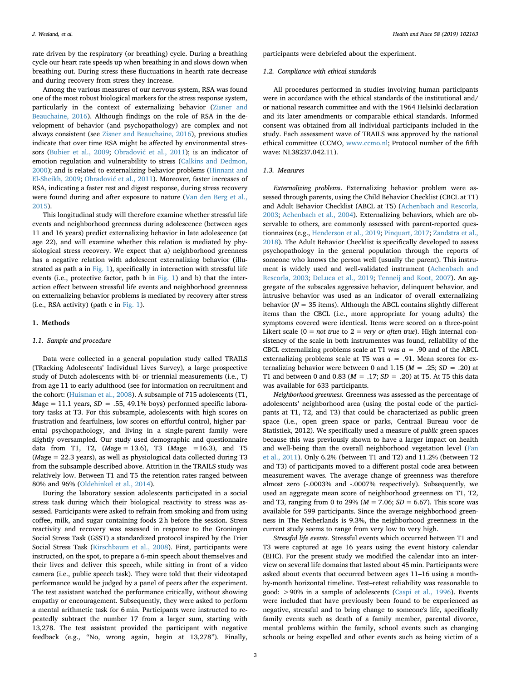rate driven by the respiratory (or breathing) cycle. During a breathing cycle our heart rate speeds up when breathing in and slows down when breathing out. During stress these fluctuations in hearth rate decrease and during recovery from stress they increase.

Among the various measures of our nervous system, RSA was found one of the most robust biological markers for the stress response system, particularly in the context of externalizing behavior [\(Zisner and](#page-7-18) [Beauchaine, 2016\)](#page-7-18). Although findings on the role of RSA in the development of behavior (and psychopathology) are complex and not always consistent (see [Zisner and Beauchaine, 2016](#page-7-18)), previous studies indicate that over time RSA might be affected by environmental stressors ([Bubier et al., 2009;](#page-6-10) [Obradović et al., 2011](#page-7-16)); is an indicator of emotion regulation and vulnerability to stress [\(Calkins and Dedmon,](#page-6-11) [2000\)](#page-6-11); and is related to externalizing behavior problems [\(Hinnant and](#page-7-19) [El-Sheikh, 2009;](#page-7-19) [Obradović et al., 2011](#page-7-16)). Moreover, faster increases of RSA, indicating a faster rest and digest response, during stress recovery were found during and after exposure to nature [\(Van den Berg et al.,](#page-7-17) [2015\)](#page-7-17).

This longitudinal study will therefore examine whether stressful life events and neighborhood greenness during adolescence (between ages 11 and 16 years) predict externalizing behavior in late adolescence (at age 22), and will examine whether this relation is mediated by physiological stress recovery. We expect that a) neighborhood greenness has a negative relation with adolescent externalizing behavior (illustrated as path a in [Fig. 1](#page-1-0)), specifically in interaction with stressful life events (i.e., protective factor, path b in [Fig. 1\)](#page-1-0) and b) that the interaction effect between stressful life events and neighborhood greenness on externalizing behavior problems is mediated by recovery after stress (i.e., RSA activity) (path c in [Fig. 1](#page-1-0)).

## **1. Methods**

## *1.1. Sample and procedure*

Data were collected in a general population study called TRAILS (TRacking Adolescents' Individual Lives Survey), a large prospective study of Dutch adolescents with bi- or triennial measurements (i.e., T) from age 11 to early adulthood (see for information on recruitment and the cohort: ([Huisman et al., 2008\)](#page-7-20). A subsample of 715 adolescents (T1,  $Mage = 11.1 \text{ years}, SD = .55, 49.1\% \text{ boys}$  performed specific laboratory tasks at T3. For this subsample, adolescents with high scores on frustration and fearfulness, low scores on effortful control, higher parental psychopathology, and living in a single-parent family were slightly oversampled. Our study used demographic and questionnaire data from T1, T2, (*M*age = 13.6), T3 (*M*age =16.3), and T5 (*M*age = 22.3 years), as well as physiological data collected during T3 from the subsample described above. Attrition in the TRAILS study was relatively low. Between T1 and T5 the retention rates ranged between 80% and 96% [\(Oldehinkel et al., 2014](#page-7-21)).

During the laboratory session adolescents participated in a social stress task during which their biological reactivity to stress was assessed. Participants were asked to refrain from smoking and from using coffee, milk, and sugar containing foods 2 h before the session. Stress reactivity and recovery was assessed in response to the Groningen Social Stress Task (GSST) a standardized protocol inspired by the Trier Social Stress Task ([Kirschbaum et al., 2008](#page-7-22)). First, participants were instructed, on the spot, to prepare a 6-min speech about themselves and their lives and deliver this speech, while sitting in front of a video camera (i.e., public speech task). They were told that their videotaped performance would be judged by a panel of peers after the experiment. The test assistant watched the performance critically, without showing empathy or encouragement. Subsequently, they were asked to perform a mental arithmetic task for 6 min. Participants were instructed to repeatedly subtract the number 17 from a larger sum, starting with 13,278. The test assistant provided the participant with negative feedback (e.g., "No, wrong again, begin at 13,278"). Finally,

participants were debriefed about the experiment.

## *1.2. Compliance with ethical standards*

All procedures performed in studies involving human participants were in accordance with the ethical standards of the institutional and/ or national research committee and with the 1964 Helsinki declaration and its later amendments or comparable ethical standards. Informed consent was obtained from all individual participants included in the study. Each assessment wave of TRAILS was approved by the national ethical committee (CCMO, [www.ccmo.nl](http://www.ccmo.nl); Protocol number of the fifth wave: NL38237.042.11).

## *1.3. Measures*

*Externalizing problems*. Externalizing behavior problem were assessed through parents, using the Child Behavior Checklist (CBCL at T1) and Adult Behavior Checklist (ABCL at T5) ([Achenbach and Rescorla,](#page-6-12) [2003;](#page-6-12) [Achenbach et al., 2004\)](#page-6-13). Externalizing behaviors, which are observable to others, are commonly assessed with parent-reported questionnaires (e.g., [Henderson et al., 2019;](#page-7-23) [Pinquart, 2017;](#page-7-24) [Zandstra et al.,](#page-7-25) [2018\)](#page-7-25). The Adult Behavior Checklist is specifically developed to assess psychopathology in the general population through the reports of someone who knows the person well (usually the parent). This instrument is widely used and well-validated instrument ([Achenbach and](#page-6-12) [Rescorla, 2003;](#page-6-12) [DeLuca et al., 2019](#page-6-14); [Tenneij and Koot, 2007\)](#page-7-26). An aggregate of the subscales aggressive behavior, delinquent behavior, and intrusive behavior was used as an indicator of overall externalizing behavior ( $N = 35$  items). Although the ABCL contains slightly different items than the CBCL (i.e., more appropriate for young adults) the symptoms covered were identical. Items were scored on a three-point Likert scale ( $0 = not$  *true* to  $2 = very$  *or often true*). High internal consistency of the scale in both instrumentes was found, reliability of the CBCL externalizing problems scale at T1 was  $a = .90$  and of the ABCL externalizing problems scale at T5 was  $a = .91$ . Mean scores for externalizing behavior were between 0 and 1.15 ( $M = .25$ ;  $SD = .20$ ) at T1 and between 0 and 0.83 (*M* = .17; *SD* = .20) at T5. At T5 this data was available for 633 participants.

*Neighborhood greenness.* Greenness was assessed as the percentage of adolescents' neighborhood area (using the postal code of the participants at T1, T2, and T3) that could be characterized as public green space (i.e., open green space or parks, Centraal Bureau voor de Statistiek, 2012). We specifically used a measure of *public* green spaces because this was previously shown to have a larger impact on health and well-being than the overall neighborhood vegetation level ([Fan](#page-6-15) [et al., 2011](#page-6-15)). Only 6.2% (between T1 and T2) and 11.2% (between T2 and T3) of participants moved to a different postal code area between measurement waves. The average change of greenness was therefore almost zero (-.0003% and -.0007% respectively). Subsequently, we used an aggregate mean score of neighborhood greenness on T1, T2, and T3, ranging from 0 to 29% (*M* = 7.06; *SD* = 6.67). This score was available for 599 participants. Since the average neighborhood greenness in The Netherlands is 9.3%, the neighborhood greenness in the current study seems to range from very low to very high.

*Stressful life events.* Stressful events which occurred between T1 and T3 were captured at age 16 years using the event history calendar (EHC). For the present study we modified the calendar into an interview on several life domains that lasted about 45 min. Participants were asked about events that occurred between ages 11–16 using a monthby-month horizontal timeline. Test–retest reliability was reasonable to good: >90% in a sample of adolescents ([Caspi et al., 1996\)](#page-6-16). Events were included that have previously been found to be experienced as negative, stressful and to bring change to someone's life, specifically family events such as death of a family member, parental divorce, mental problems within the family, school events such as changing schools or being expelled and other events such as being victim of a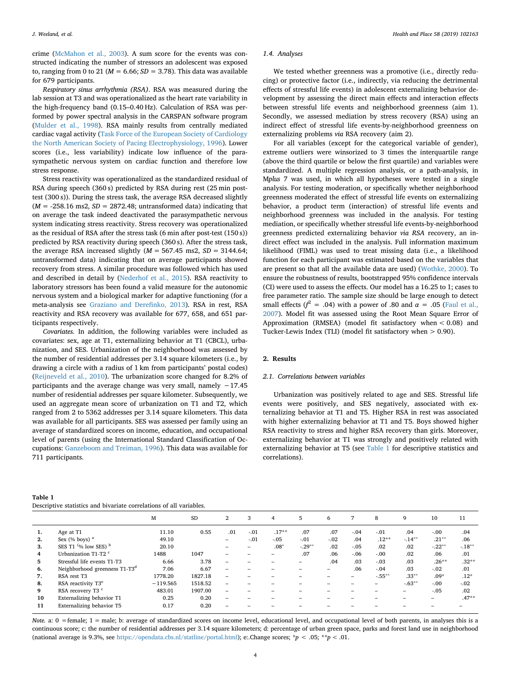crime [\(McMahon et al., 2003](#page-7-27)). A sum score for the events was constructed indicating the number of stressors an adolescent was exposed to, ranging from 0 to 21 ( $M = 6.66$ ;  $SD = 3.78$ ). This data was available for 679 participants.

*Respiratory sinus arrhythmia (RSA)*. RSA was measured during the lab session at T3 and was operationalized as the heart rate variability in the high-frequency band (0.15–0.40 Hz). Calculation of RSA was performed by power spectral analysis in the CARSPAN software program ([Mulder et al., 1998\)](#page-7-28). RSA mainly results from centrally mediated cardiac vagal activity [\(Task Force of the European Society of Cardiology](#page-6-17) [the North American Society of Pacing Electrophysiology, 1996](#page-6-17)). Lower scores (i.e., less variability) indicate low influence of the parasympathetic nervous system on cardiac function and therefore low stress response.

Stress reactivity was operationalized as the standardized residual of RSA during speech (360 s) predicted by RSA during rest (25 min posttest (300 s)). During the stress task, the average RSA decreased slightly  $(M = -258.16 \text{ ms2}, SD = 2872.48;$  untransformed data) indicating that on average the task indeed deactivated the parasympathetic nervous system indicating stress reactivity. Stress recovery was operationalized as the residual of RSA after the stress task (6 min after post-test (150 s)) predicted by RSA reactivity during speech (360 s). After the stress task, the average RSA increased slightly  $(M = 567.45 \text{ ms2}, SD = 3144.64;$ untransformed data) indicating that on average participants showed recovery from stress. A similar procedure was followed which has used and described in detail by ([Nederhof et al., 2015](#page-7-29)). RSA reactivity to laboratory stressors has been found a valid measure for the autonomic nervous system and a biological marker for adaptive functioning (for a meta-analysis see [Graziano and Derefinko, 2013](#page-7-30)). RSA in rest, RSA reactivity and RSA recovery was available for 677, 658, and 651 participants respectively.

*Covariates.* In addition, the following variables were included as covariates: sex, age at T1, externalizing behavior at T1 (CBCL), urbanization, and SES. Urbanization of the neighborhood was assessed by the number of residential addresses per 3.14 square kilometers (i.e., by drawing a circle with a radius of 1 km from participants' postal codes) ([Reijneveld et al., 2010](#page-7-2)). The urbanization score changed for 8.2% of participants and the average change was very small, namely −17.45 number of residential addresses per square kilometer. Subsequently, we used an aggregate mean score of urbanization on T1 and T2, which ranged from 2 to 5362 addresses per 3.14 square kilometers. This data was available for all participants. SES was assessed per family using an average of standardized scores on income, education, and occupational level of parents (using the International Standard Classification of Occupations: [Ganzeboom and Treiman, 1996\)](#page-6-18). This data was available for 711 participants.

### *1.4. Analyses*

We tested whether greenness was a promotive (i.e., directly reducing) or protective factor (i.e., indirectly, via reducing the detrimental effects of stressful life events) in adolescent externalizing behavior development by assessing the direct main effects and interaction effects between stressful life events and neighborhood greenness (aim 1). Secondly, we assessed mediation by stress recovery (RSA) using an indirect effect of stressful life events-by-neighborhood greenness on externalizing problems *via* RSA recovery (aim 2).

For all variables (except for the categorical variable of gender), extreme outliers were winsorized to 3 times the interquartile range (above the third quartile or below the first quartile) and variables were standardized. A multiple regression analysis, or a path-analysis, in M*plus* 7 was used, in which all hypotheses were tested in a single analysis. For testing moderation, or specifically whether neighborhood greenness moderated the effect of stressful life events on externalizing behavior, a product term (interaction) of stressful life events and neighborhood greenness was included in the analysis. For testing mediation, or specifically whether stressful life events-by-neighborhood greenness predicted externalizing behavior *via RSA* recovery, an indirect effect was included in the analysis. Full information maximum likelihood (FIML) was used to treat missing data (i.e., a likelihood function for each participant was estimated based on the variables that are present so that all the available data are used) ([Wothke, 2000\)](#page-7-31). To ensure the robustness of results, bootstrapped 95% confidence intervals (CI) were used to assess the effects. Our model has a 16.25 to 1; cases to free parameter ratio. The sample size should be large enough to detect small effects ( $f^2$  = .04) with a power of .80 and  $\alpha$  = .05 [\(Faul et al.,](#page-6-19) [2007\)](#page-6-19). Model fit was assessed using the Root Mean Square Error of Approximation (RMSEA) (model fit satisfactory when < 0.08) and Tucker-Lewis Index (TLI) (model fit satisfactory when > 0.90).

## **2. Results**

## *2.1. Correlations between variables*

Urbanization was positively related to age and SES. Stressful life events were positively, and SES negatively, associated with externalizing behavior at T1 and T5. Higher RSA in rest was associated with higher externalizing behavior at T1 and T5. Boys showed higher RSA reactivity to stress and higher RSA recovery than girls. Moreover, externalizing behavior at T1 was strongly and positively related with externalizing behavior at T5 (see [Table 1](#page-3-0) for descriptive statistics and correlations).

<span id="page-3-0"></span>

| Table 1                                                             |  |
|---------------------------------------------------------------------|--|
| Descriptive statistics and bivariate correlations of all variables. |  |

|                |                                           | M          | <b>SD</b> | 2                        | 3                        | 4       | 5       | 6      |        | 8        | 9         | 10        | 11        |
|----------------|-------------------------------------------|------------|-----------|--------------------------|--------------------------|---------|---------|--------|--------|----------|-----------|-----------|-----------|
| 1.             | Age at T1                                 | 11.10      | 0.55      | .01                      | $-.01$                   | $.17**$ | .07     | .07    | $-.04$ | $-.01$   | .04       | $-.00$    | .04       |
| 2.             | Sex $(\%$ boys) <sup>a</sup>              | 49.10      |           | -                        | $-.01$                   | $-0.05$ | $-.01$  | $-.02$ | .04    | $.12**$  | $-.14***$ | $.21***$  | .06       |
| 3.             | SES T1 $\%$ low SES) $b$                  | 20.10      |           |                          | $\overline{\phantom{0}}$ | $.08*$  | $-29**$ | .02    | $-.05$ | .02      | .02       | $-.22***$ | $-.18***$ |
| $\overline{4}$ | Urbanization T1-T2 <sup>c</sup>           | 1488       | 1047      |                          |                          | -       | .07     | .06    | $-.06$ | $-0.00$  | .02       | .06       | .01       |
| 5.             | Stressful life events T1-T3               | 6.66       | 3.78      | $\overline{\phantom{0}}$ |                          |         |         | .04    | .03    | $-.03$   | .03       | $.26**$   | $.32**$   |
| 6.             | Neighborhood greenness T1-T3 <sup>d</sup> | 7.06       | 6.67      | -                        |                          |         |         | -      | .06    | $-.04$   | .03       | $-0.02$   | .01       |
| 7.             | RSA rest T3                               | 1778.20    | 1827.18   | $\overline{\phantom{0}}$ |                          |         |         |        | -      | $-55***$ | $.33***$  | $.09*$    | $.12*$    |
| 8.             | RSA reactivity T3 <sup>e</sup>            | $-119.565$ | 1518.52   | $\equiv$                 |                          |         |         |        |        |          | $-.63***$ | $-.00$    | $-.02$    |
| 9              | RSA recovery T3 <sup>c</sup>              | 483.01     | 1907.00   | $\overline{\phantom{0}}$ |                          |         |         |        |        |          | -         | $-.05$    | .02       |
| 10             | Externalizing behavior T1                 | 0.25       | 0.20      | $\overline{\phantom{0}}$ |                          |         |         |        |        |          |           | -         | $.47**$   |
| 11             | Externalizing behavior T5                 | 0.17       | 0.20      | $\overline{\phantom{0}}$ |                          |         |         |        |        |          |           |           |           |

*Note.* a: 0 =female; 1 = male; b: average of standardized scores on income level, educational level, and occupational level of both parents, in analyses this is a continuous score; c: the number of residential addresses per 3.14 square kilometers; d: percentage of urban green space, parks and forest land use in neighborhood (national average is 9.3%, see [https://opendata.cbs.nl/statline/portal.html\)](https://opendata.cbs.nl/statline/portal.html); e:.Change scores; \**p* < .05; \*\**p* < .01.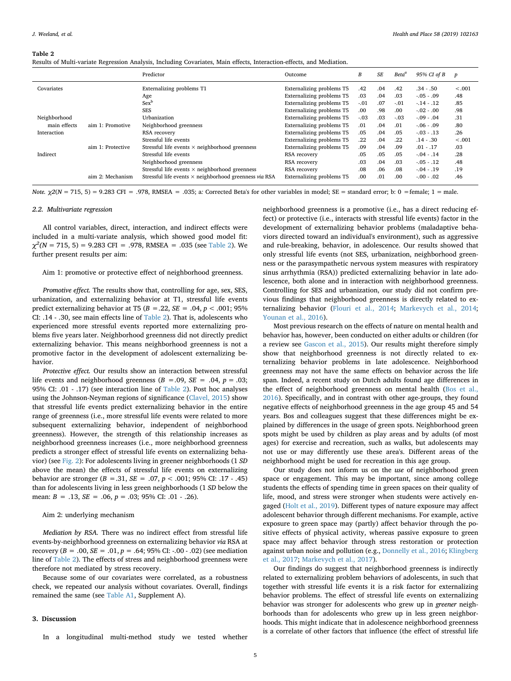#### <span id="page-4-0"></span>**Table 2**

|  |  |  |  |  |  |  |  |  | Results of Multi-variate Regression Analysis, Including Covariates, Main effects, Interaction-effects, and Mediation. |  |
|--|--|--|--|--|--|--|--|--|-----------------------------------------------------------------------------------------------------------------------|--|
|--|--|--|--|--|--|--|--|--|-----------------------------------------------------------------------------------------------------------------------|--|

|              |                   | Predictor                                                     | Outcome                   | В      | <b>SE</b> | Beta <sup>a</sup> | 95% CI of B    | $\boldsymbol{p}$ |
|--------------|-------------------|---------------------------------------------------------------|---------------------------|--------|-----------|-------------------|----------------|------------------|
| Covariates   |                   | Externalizing problems T1                                     | Externalizing problems T5 | .42    | .04       | .42               | $.34-.50$      | $-.001$          |
|              |                   | Age                                                           | Externalizing problems T5 | .03    | .04       | .03               | $-.05-.09$     | .48              |
|              |                   | $Sex^b$                                                       | Externalizing problems T5 | $-.01$ | .07       | $-.01$            | $-14 - 12$     | .85              |
|              |                   | <b>SES</b>                                                    | Externalizing problems T5 | .00    | .98       | .00               | $-.02-.00$     | .98              |
| Neighborhood |                   | Urbanization                                                  | Externalizing problems T5 | $-.03$ | .03       | $-.03$            | $-0.09 - 0.04$ | .31              |
| main effects | aim 1: Promotive  | Neighborhood greenness                                        | Externalizing problems T5 | .01    | .04       | .01               | $-.06-.09$     | .80              |
| Interaction  |                   | RSA recovery                                                  | Externalizing problems T5 | .05    | .04       | .05               | $-.03-.13$     | .26              |
|              |                   | Stressful life events                                         | Externalizing problems T5 | .22    | .04       | .22               | $.14-.30$      | $-.001$          |
|              | aim 1: Protective | Stressful life events $\times$ neighborhood greenness         | Externalizing problems T5 | .09    | .04       | .09               | $.01-.17$      | .03              |
| Indirect     |                   | Stressful life events                                         | RSA recovery              | .05    | .05       | .05               | $-0.04 - 0.14$ | .28              |
|              |                   | Neighborhood greenness                                        | RSA recovery              | .03    | .04       | .03               | $-.05-.12$     | .48              |
|              |                   | Stressful life events $\times$ neighborhood greenness         | RSA recovery              | .08    | .06       | .08               | $-.04-.19$     | .19              |
|              | aim 2: Mechanism  | Stressful life events $\times$ neighborhood greenness via RSA | Externalizing problems T5 | .00    | .01       | .00               | $-.00-.02$     | .46              |

*Note.*  $χ2(N = 715, 5) = 9.283$  CFI = .978, RMSEA = .035; a: Corrected Beta's for other variables in model; SE = standard error; b: 0 = female; 1 = male.

#### *2.2. Multivariate regression*

All control variables, direct, interaction, and indirect effects were included in a multi-variate analysis, which showed good model fit:  $\chi^2$ (*N* = 715, 5) = 9.283 CFI = .978, RMSEA = .035 (see [Table 2\)](#page-4-0). We further present results per aim:

## Aim 1: promotive or protective effect of neighborhood greenness.

*Promotive effect.* The results show that, controlling for age, sex, SES, urbanization, and externalizing behavior at T1, stressful life events predict externalizing behavior at T5 (*B* =.22, *SE* = .04, *p* < .001; 95% CI: .14 - .30, see main effects line of [Table 2](#page-4-0)). That is, adolescents who experienced more stressful events reported more externalizing problems five years later. Neighborhood greenness did not directly predict externalizing behavior. This means neighborhood greenness is not a promotive factor in the development of adolescent externalizing behavior.

*Protective effect.* Our results show an interaction between stressful life events and neighborhood greenness  $(B = .09, SE = .04, p = .03;$ 95% CI: .01 - .17) (see interaction line of [Table 2\)](#page-4-0). Post hoc analyses using the Johnson-Neyman regions of significance [\(Clavel, 2015\)](#page-6-20) show that stressful life events predict externalizing behavior in the entire range of greenness (i.e., more stressful life events were related to more subsequent externalizing behavior, independent of neighborhood greenness). However, the strength of this relationship increases as neighborhood greenness increases (i.e., more neighborhood greenness predicts a stronger effect of stressful life events on externalizing behavior) (see [Fig. 2](#page-5-0)): For adolescents living in greener neighborhoods (1 *SD* above the mean) the effects of stressful life events on externalizing behavior are stronger (*B* =.31, *SE* = .07, *p* < .001; 95% CI: .17 - .45) than for adolescents living in less green neighborhoods (1 *SD* below the mean: *B* = .13, *SE* = .06, *p* = .03; 95% CI: .01 - .26).

### Aim 2: underlying mechanism

*Mediation by RSA.* There was no indirect effect from stressful life events-by-neighborhood greenness on externalizing behavior *via* RSA at recovery (*B* = .00, *SE* = .01, *p* = .64; 95% CI: -.00 - .02) (see mediation line of [Table 2\)](#page-4-0). The effects of stress and neighborhood greenness were therefore not mediated by stress recovery.

Because some of our covariates were correlated, as a robustness check, we repeated our analysis without covariates. Overall, findings remained the same (see Table A1, Supplement A).

## **3. Discussion**

In a longitudinal multi-method study we tested whether

neighborhood greenness is a promotive (i.e., has a direct reducing effect) or protective (i.e., interacts with stressful life events) factor in the development of externalizing behavior problems (maladaptive behaviors directed toward an individual's environment), such as aggressive and rule-breaking, behavior, in adolescence. Our results showed that only stressful life events (not SES, urbanization, neighborhood greenness or the parasympathetic nervous system measures with respiratory sinus arrhythmia (RSA)) predicted externalizing behavior in late adolescence, both alone and in interaction with neighborhood greenness. Controlling for SES and urbanization, our study did not confirm previous findings that neighborhood greenness is directly related to externalizing behavior [\(Flouri et al., 2014](#page-6-3); [Markevych et al., 2014](#page-7-5); [Younan et al., 2016\)](#page-7-6).

Most previous research on the effects of nature on mental health and behavior has, however, been conducted on either adults or children (for a review see [Gascon et al., 2015\)](#page-7-3). Our results might therefore simply show that neighborhood greenness is not directly related to externalizing behavior problems in late adolescence. Neighborhood greenness may not have the same effects on behavior across the life span. Indeed, a recent study on Dutch adults found age differences in the effect of neighborhood greenness on mental health [\(Bos et al.,](#page-6-7) [2016\)](#page-6-7). Specifically, and in contrast with other age-groups, they found negative effects of neighborhood greenness in the age group 45 and 54 years. Bos and colleagues suggest that these differences might be explained by differences in the usage of green spots. Neighborhood green spots might be used by children as play areas and by adults (of most ages) for exercise and recreation, such as walks, but adolescents may not use or may differently use these area's. Different areas of the neighborhood might be used for recreation in this age group.

Our study does not inform us on the *use* of neighborhood green space or engagement. This may be important, since among college students the effects of spending time in green spaces on their quality of life, mood, and stress were stronger when students were actively engaged ([Holt et al., 2019\)](#page-7-32). Different types of nature exposure may affect adolescent behavior through different mechanisms. For example, active exposure to green space may (partly) affect behavior through the positive effects of physical activity, whereas passive exposure to green space may affect behavior through stress restoration or protection against urban noise and pollution (e.g., [Donnelly et al., 2016](#page-6-21); [Klingberg](#page-7-33) [et al., 2017](#page-7-33); [Markevych et al., 2017\)](#page-7-34).

Our findings do suggest that neighborhood greenness is indirectly related to externalizing problem behaviors of adolescents, in such that together with stressful life events it is a risk factor for externalizing behavior problems. The effect of stressful life events on externalizing behavior was stronger for adolescents who grew up in *greener* neighborhoods than for adolescents who grew up in less green neighborhoods. This might indicate that in adolescence neighborhood greenness is a correlate of other factors that influence (the effect of stressful life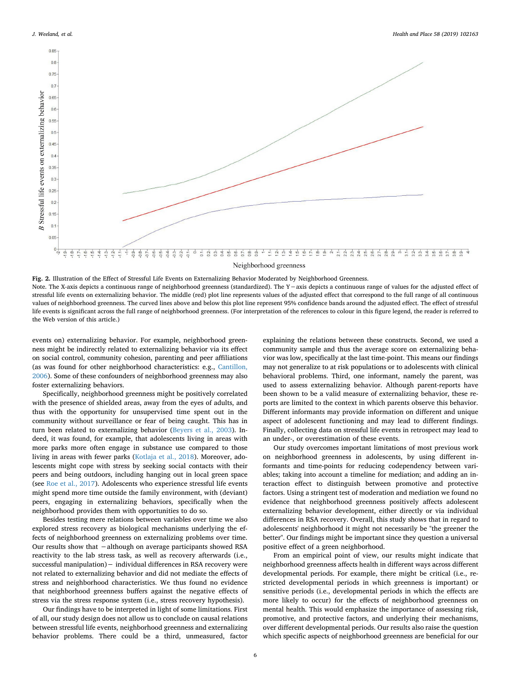<span id="page-5-0"></span>

**Fig. 2.** Illustration of the Effect of Stressful Life Events on Externalizing Behavior Moderated by Neighborhood Greenness. Note. The X-axis depicts a continuous range of neighborhood greenness (standardized). The Y -axis depicts a continuous range of values for the adjusted effect of stressful life events on externalizing behavior. The middle (red) plot line represents values of the adjusted effect that correspond to the full range of all continuous values of neighborhood greenness. The curved lines above and below this plot line represent 95% confidence bands around the adjusted effect. The effect of stressful life events is significant across the full range of neighborhood greenness. (For interpretation of the references to colour in this figure legend, the reader is referred to the Web version of this article.)

events on) externalizing behavior. For example, neighborhood greenness might be indirectly related to externalizing behavior via its effect on social control, community cohesion, parenting and peer affiliations (as was found for other neighborhood characteristics: e.g., [Cantillon,](#page-6-22) [2006\)](#page-6-22). Some of these confounders of neighborhood greenness may also foster externalizing behaviors.

Specifically, neighborhood greenness might be positively correlated with the presence of shielded areas, away from the eyes of adults, and thus with the opportunity for unsupervised time spent out in the community without surveillance or fear of being caught. This has in turn been related to externalizing behavior [\(Beyers et al., 2003](#page-6-23)). Indeed, it was found, for example, that adolescents living in areas with more parks more often engage in substance use compared to those living in areas with fewer parks [\(Kotlaja et al., 2018](#page-7-35)). Moreover, adolescents might cope with stress by seeking social contacts with their peers and being outdoors, including hanging out in local green space (see [Roe et al., 2017\)](#page-7-36). Adolescents who experience stressful life events might spend more time outside the family environment, with (deviant) peers, engaging in externalizing behaviors, specifically when the neighborhood provides them with opportunities to do so.

Besides testing mere relations between variables over time we also explored stress recovery as biological mechanisms underlying the effects of neighborhood greenness on externalizing problems over time. Our results show that −although on average participants showed RSA reactivity to the lab stress task, as well as recovery afterwards (i.e., successful manipulation)− individual differences in RSA recovery were not related to externalizing behavior and did not mediate the effects of stress and neighborhood characteristics. We thus found no evidence that neighborhood greenness buffers against the negative effects of stress via the stress response system (i.e., stress recovery hypothesis).

Our findings have to be interpreted in light of some limitations. First of all, our study design does not allow us to conclude on causal relations between stressful life events, neighborhood greenness and externalizing behavior problems. There could be a third, unmeasured, factor

explaining the relations between these constructs. Second, we used a community sample and thus the average score on externalizing behavior was low, specifically at the last time-point. This means our findings may not generalize to at risk populations or to adolescents with clinical behavioral problems. Third, one informant, namely the parent, was used to assess externalizing behavior. Although parent-reports have been shown to be a valid measure of externalizing behavior, these reports are limited to the context in which parents observe this behavior. Different informants may provide information on different and unique aspect of adolescent functioning and may lead to different findings. Finally, collecting data on stressful life events in retrospect may lead to an under-, or overestimation of these events.

Our study overcomes important limitations of most previous work on neighborhood greenness in adolescents, by using different informants and time-points for reducing codependency between variables; taking into account a timeline for mediation; and adding an interaction effect to distinguish between promotive and protective factors. Using a stringent test of moderation and mediation we found no evidence that neighborhood greenness positively affects adolescent externalizing behavior development, either directly or via individual differences in RSA recovery. Overall, this study shows that in regard to adolescents' neighborhood it might not necessarily be "the greener the better". Our findings might be important since they question a universal positive effect of a green neighborhood.

From an empirical point of view, our results might indicate that neighborhood greenness affects health in different ways across different developmental periods. For example, there might be critical (i.e., restricted developmental periods in which greenness is important) or sensitive periods (i.e., developmental periods in which the effects are more likely to occur) for the effects of neighborhood greenness on mental health. This would emphasize the importance of assessing risk, promotive, and protective factors, and underlying their mechanisms, over different developmental periods. Our results also raise the question which specific aspects of neighborhood greenness are beneficial for our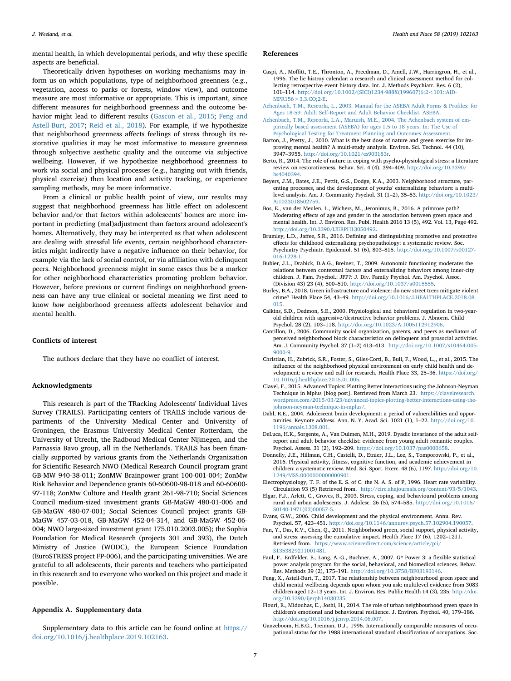mental health, in which developmental periods, and why these specific aspects are beneficial.

Theoretically driven hypotheses on working mechanisms may inform us on which populations, type of neighborhood greenness (e.g., vegetation, access to parks or forests, window view), and outcome measure are most informative or appropriate. This is important, since different measures for neighborhood greenness and the outcome behavior might lead to different results [\(Gascon et al., 2015;](#page-7-3) [Feng and](#page-6-24) [Astell-Burt, 2017;](#page-6-24) [Reid et al., 2018\)](#page-7-37). For example, if we hypothesize that neighborhood greenness affects feelings of stress through its restorative qualities it may be most informative to measure greenness through subjective aesthetic quality and the outcome via subjective wellbeing. However, if we hypothesize neighborhood greenness to work via social and physical processes (e.g., hanging out with friends, physical exercise) then location and activity tracking, or experience sampling methods, may be more informative.

From a clinical or public health point of view, our results may suggest that neighborhood greenness has little effect on adolescent behavior and/or that factors within adolescents' homes are more important in predicting (mal)adjustment than factors around adolescent's homes. Alternatively, they may be interpreted as that when adolescent are dealing with stressful life events, certain neighborhood characteristics might indirectly have a negative influence on their behavior, for example via the lack of social control, or via affiliation with delinquent peers. Neighborhood greenness might in some cases thus be a marker for other neighborhood characteristics promoting problem behavior. However, before previous or current findings on neighborhood greenness can have any true clinical or societal meaning we first need to know *how* neighborhood greenness affects adolescent behavior and mental health.

## **Conflicts of interest**

The authors declare that they have no conflict of interest.

## **Acknowledgments**

This research is part of the TRacking Adolescents' Individual Lives Survey (TRAILS). Participating centers of TRAILS include various departments of the University Medical Center and University of Groningen, the Erasmus University Medical Center Rotterdam, the University of Utrecht, the Radboud Medical Center Nijmegen, and the Parnassia Bavo group, all in the Netherlands. TRAILS has been financially supported by various grants from the Netherlands Organization for Scientific Research NWO (Medical Research Council program grant GB-MW 940-38-011; ZonMW Brainpower grant 100-001-004; ZonMw Risk Behavior and Dependence grants 60-60600-98-018 and 60-60600- 97-118; ZonMw Culture and Health grant 261-98-710; Social Sciences Council medium-sized investment grants GB-MaGW 480-01-006 and GB-MaGW 480-07-001; Social Sciences Council project grants GB-MaGW 457-03-018, GB-MaGW 452-04-314, and GB-MaGW 452-06- 004; NWO large-sized investment grant 175.010.2003.005); the Sophia Foundation for Medical Research (projects 301 and 393), the Dutch Ministry of Justice (WODC), the European Science Foundation (EuroSTRESS project FP-006), and the participating universities. We are grateful to all adolescents, their parents and teachers who participated in this research and to everyone who worked on this project and made it possible.

## **Appendix A. Supplementary data**

Supplementary data to this article can be found online at [https://](https://doi.org/10.1016/j.healthplace.2019.102163) [doi.org/10.1016/j.healthplace.2019.102163](https://doi.org/10.1016/j.healthplace.2019.102163).

## **References**

- <span id="page-6-16"></span>Caspi, A., Moffitt, T.E., Thronton, A., Freedman, D., Amell, J.W., Harringron, H., et al., 1996. The lie histroy calendar: a research and clinical assessment method for collecting retrospective event history data. Int. J. Methods Psychiatr. Res. 6 (2), 101–114. [http://doi.org/10.1002/\(SICI\)1234-988X\(199607\)6:2<101::AID-](http://doi.org/10.1002/(SICI)1234-988X(199607)6:2%3c;101::AID-MPR156%3e;3.3.CO;2-E) $MPR156 > 3.3$  CO:2-E.
- <span id="page-6-12"></span>[Achenbach, T.M., Rescorla, L., 2003. Manual for the ASEBA Adult Forms & Profiles: for](http://refhub.elsevier.com/S1353-8292(18)31260-7/sref2) [Ages 18-59: Adult Self-Report and Adult Behavior Checklist. ASEBA](http://refhub.elsevier.com/S1353-8292(18)31260-7/sref2).
- <span id="page-6-13"></span>[Achenbach, T.M., Rescorla, L.A., Maruish, M.E., 2004. The Achenbach system of em](http://refhub.elsevier.com/S1353-8292(18)31260-7/sref3)[pirically based assessment \(ASEBA\) for ages 1.5 to 18 years. In: The Use of](http://refhub.elsevier.com/S1353-8292(18)31260-7/sref3) [Psychological Testing for Treatment Planning and Outcomes Assessment.](http://refhub.elsevier.com/S1353-8292(18)31260-7/sref3)
- <span id="page-6-6"></span>Barton, J., Pretty, J., 2010. What is the best dose of nature and green exercise for improving mental health? A multi-study analysis. Environ. Sci. Technol. 44 (10), 3947–3955. <http://doi.org/10.1021/es903183r>.
- <span id="page-6-8"></span>Berto, R., 2014. The role of nature in coping with psycho-physiological stress: a literature review on restorativeness. Behav. Sci. 4 (4), 394–409. [http://doi.org/10.3390/](http://doi.org/10.3390/bs4040394) [bs4040394.](http://doi.org/10.3390/bs4040394)
- <span id="page-6-23"></span>Beyers, J.M., Bates, J.E., Pettit, G.S., Dodge, K.A., 2003. Neighborhood structure, parenting processes, and the development of youths' externalizing behaviors: a multilevel analysis. Am. J. Community Psychol. 31 (1–2), 35–53. [http://doi.org/10.1023/](http://doi.org/10.1023/A:1023018502759) [A:1023018502759](http://doi.org/10.1023/A:1023018502759).
- <span id="page-6-7"></span>Bos, E., van der Meulen, L., Wichers, M., Jeronimus, B., 2016. A primrose path? Moderating effects of age and gender in the association between green space and mental health. Int. J. Environ. Res. Publ. Health 2016 13 (5), 492. Vol. 13, Page 492. <http://doi.org/10.3390/IJERPH13050492>.
- <span id="page-6-2"></span>Brumley, L.D., Jaffee, S.R., 2016. Defining and distinguishing promotive and protective effects for childhood externalizing psychopathology: a systematic review. Soc. Psychiatry Psychiatr. Epidemiol. 51 (6), 803–815. [http://doi.org/10.1007/s00127-](http://doi.org/10.1007/s00127-016-1228-1) [016-1228-1](http://doi.org/10.1007/s00127-016-1228-1).
- <span id="page-6-10"></span>Bubier, J.L., Drabick, D.A.G., Breiner, T., 2009. Autonomic functioning moderates the relations between contextual factors and externalizing behaviors among inner-city children. J. Fam. Psychol.: JFP?: J. Div. Family Psychol. Am. Psychol. Assoc. (Division 43) 23 (4), 500–510. [http://doi.org/10.1037/a0015555.](http://doi.org/10.1037/a0015555)
- <span id="page-6-4"></span>Burley, B.A., 2018. Green infrastructure and violence: do new street trees mitigate violent crime? Health Place 54, 43–49. [http://doi.org/10.1016/J.HEALTHPLACE.2018.08.](http://doi.org/10.1016/J.HEALTHPLACE.2018.08.015) [015](http://doi.org/10.1016/J.HEALTHPLACE.2018.08.015).
- <span id="page-6-11"></span>Calkins, S.D., Dedmon, S.E., 2000. Physiological and behavioral regulation in two-yearold children with aggressive/destructive behavior problems. J. Abnorm. Child Psychol. 28 (2), 103–118. <http://doi.org/10.1023/A:1005112912906>.
- <span id="page-6-22"></span>Cantillon, D., 2006. Community social organization, parents, and peers as mediators of perceived neighborhood block characteristics on delinquent and prosocial activities. Am. J. Community Psychol. 37 (1–2) 413–413. [http://doi.org/10.1007/s10464-005-](http://doi.org/10.1007/s10464-005-9000-9) [9000-9.](http://doi.org/10.1007/s10464-005-9000-9)
- <span id="page-6-0"></span>Christian, H., Zubrick, S.R., Foster, S., Giles-Corti, B., Bull, F., Wood, L.,, et al., 2015. The influence of the neighborhood physical environment on early child health and development: a review and call for research. Health Place 33, 25–36. [https://doi.org/](https://doi.org/10.1016/j.healthplace.2015.01.005) [10.1016/j.healthplace.2015.01.005.](https://doi.org/10.1016/j.healthplace.2015.01.005)
- <span id="page-6-20"></span>Clavel, F., 2015. Advanced Topics: Plotting Better Interactions using the Johnson-Neyman Technique in Mplus [blog post]. Retrieved from March 23. [https://clavelresearch.](https://clavelresearch.wordpress.com/2015/03/23/advanced-topics-plotting-better-interactions-using-the-johnson-neyman-technique-in-mplus/) [wordpress.com/2015/03/23/advanced-topics-plotting-better-interactions-using-the](https://clavelresearch.wordpress.com/2015/03/23/advanced-topics-plotting-better-interactions-using-the-johnson-neyman-technique-in-mplus/)[johnson-neyman-technique-in-mplus/.](https://clavelresearch.wordpress.com/2015/03/23/advanced-topics-plotting-better-interactions-using-the-johnson-neyman-technique-in-mplus/)
- <span id="page-6-5"></span>Dahl, R.E., 2004. Adolescent brain development: a period of vulnerabilities and opportunities. Keynote address. Ann. N. Y. Acad. Sci. 1021 (1), 1–22. [http://doi.org/10.](http://doi.org/10.1196/annals.1308.001) [1196/annals.1308.001.](http://doi.org/10.1196/annals.1308.001)
- <span id="page-6-14"></span>DeLuca, H.K., Sorgente, A., Van Dulmen, M.H., 2019. Dyadic invariance of the adult selfreport and adult behavior checklist: evidence from young adult romantic couples. Psychol. Assess. 31 (2), 192–209. <https://doi.org/10.1037/pas0000658>.
- <span id="page-6-21"></span>Donnelly, J.E., Hillman, C.H., Castelli, D., Etnier, J.L., Lee, S., Tomporowski, P., et al., 2016. Physical activity, fitness, cognitive function, and academic achievement in children: a systematic review. Med. Sci. Sport. Exerc. 48 (6), 1197. [http://doi.org/10.](http://doi.org/10.1249/MSS.0000000000000901) [1249/MSS.0000000000000901.](http://doi.org/10.1249/MSS.0000000000000901)

<span id="page-6-17"></span>Electrophysiology, T. F. of the E. S. of C. the N. A. S. of P, 1996. Heart rate variability. Circulation 93 (5) Retrieved from. <http://circ.ahajournals.org/content/93/5/1043>.

- <span id="page-6-1"></span>Elgar, F.J., Arlett, C., Groves, R., 2003. Stress, coping, and behavioural problems among rural and urban adolescents. J. Adolesc. 26 (5), 574–585. [http://doi.org/10.1016/](http://doi.org/10.1016/S0140-1971(03)00057-5) [S0140-1971\(03\)00057-5](http://doi.org/10.1016/S0140-1971(03)00057-5).
- <span id="page-6-9"></span>Evans, G.W., 2006. Child development and the physical environment. Annu. Rev. Psychol. 57, 423–451. [http://doi.org/10.1146/annurev.psych.57.102904.190057.](http://doi.org/10.1146/annurev.psych.57.102904.190057)
- <span id="page-6-15"></span>Fan, Y., Das, K.V., Chen, Q., 2011. Neighborhood green, social support, physical activity, and stress: assessing the cumulative impact. Health Place 17 (6), 1202–1211. Retrieved from. [https://www.sciencedirect.com/science/article/pii/](https://www.sciencedirect.com/science/article/pii/S1353829211001481) [S1353829211001481](https://www.sciencedirect.com/science/article/pii/S1353829211001481).
- <span id="page-6-19"></span>Faul, F., Erdfelder, E., Lang, A.-G., Buchner, A., 2007. G\* Power 3: a flexible statistical power analysis program for the social, behavioral, and biomedical sciences. Behav. Res. Methods 39 (2), 175–191. <http://doi.org/10.3758/BF03193146>.
- <span id="page-6-24"></span>Feng, X., Astell-Burt, T., 2017. The relationship between neighbourhood green space and child mental wellbeing depends upon whom you ask: multilevel evidence from 3083 children aged 12–13 years. Int. J. Environ. Res. Public Health 14 (3), 235. [http://doi.](http://doi.org/10.3390/ijerph14030235) [org/10.3390/ijerph14030235.](http://doi.org/10.3390/ijerph14030235)
- <span id="page-6-3"></span>Flouri, E., Midouhas, E., Joshi, H., 2014. The role of urban neighbourhood green space in children's emotional and behavioural resilience. J. Environ. Psychol. 40, 179–186. [http://doi.org/10.1016/j.jenvp.2014.06.007.](http://doi.org/10.1016/j.jenvp.2014.06.007)
- <span id="page-6-18"></span>Ganzeboom, H.B.G., Treiman, D.J., 1996. Internationally comparable measures of occupational status for the 1988 international standard classification of occupations. Soc.